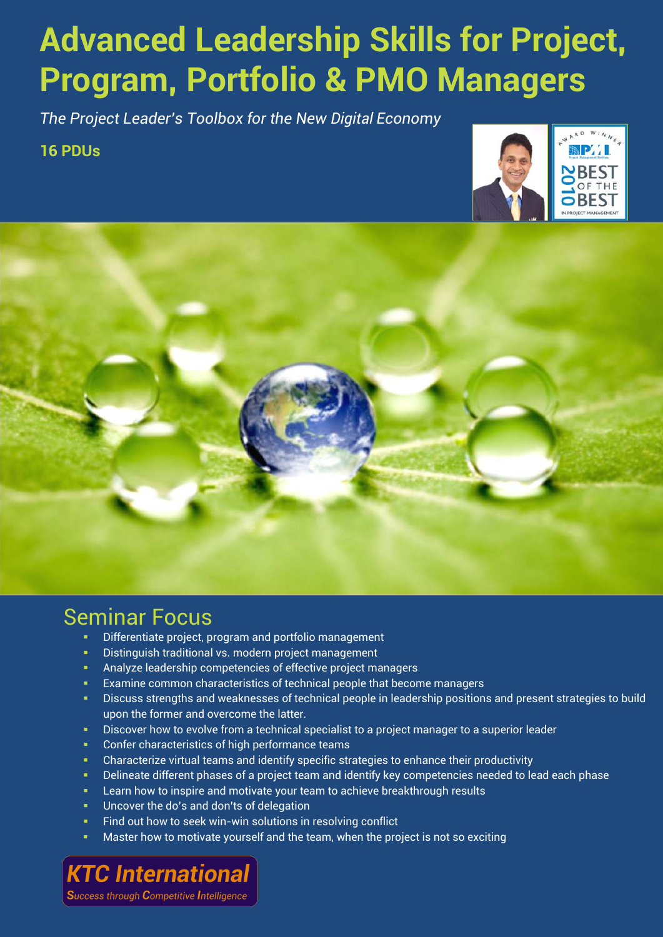# **Advanced Leadership Skills for Project, Program, Portfolio & PMO Managers**

*The Project Leader's Toolbox for the New Digital Economy* 

### **16 PDUs**





### Seminar Focus

- Differentiate project, program and portfolio management
- Distinguish traditional vs. modern project management
- Analyze leadership competencies of effective project managers
- **Examine common characteristics of technical people that become managers**
- Discuss strengths and weaknesses of technical people in leadership positions and present strategies to build upon the former and overcome the latter.
- **Discover how to evolve from a technical specialist to a project manager to a superior leader**
- **Confer characteristics of high performance teams**
- Characterize virtual teams and identify specific strategies to enhance their productivity
- **Delineate different phases of a project team and identify key competencies needed to lead each phase**
- **EXECTE 10 Learn how to inspire and motivate your team to achieve breakthrough results**
- **Uncover the do's and don'ts of delegation**
- Find out how to seek win-win solutions in resolving conflict
- Master how to motivate yourself and the team, when the project is not so exciting

**KTC International** 

**Success through Competitive Intelligence**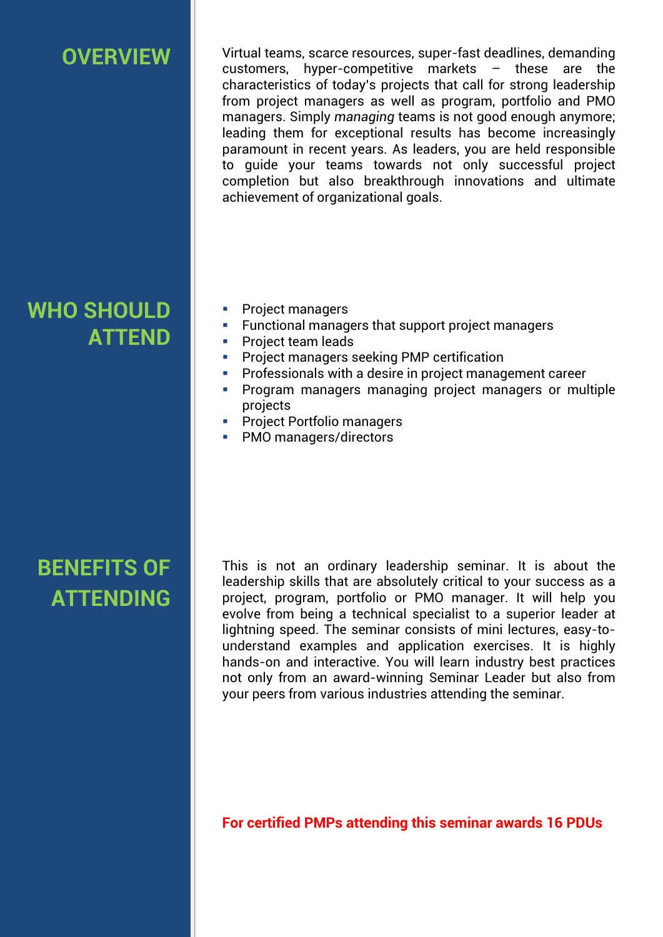### **OVERVIEW**

### **WHO SHOULD ATTEND**

Virtual teams, scarce resources, super-fast deadlines, demanding customers, hyper-competitive markets – these are the characteristics of today's projects that call for strong leadership from project managers as well as program, portfolio and PMO managers. Simply *managing* teams is not good enough anymore; leading them for exceptional results has become increasingly paramount in recent years. As leaders, you are held responsible to guide your teams towards not only successful project completion but also breakthrough innovations and ultimate achievement of organizational goals.

- **Project managers**
- **Functional managers that support project managers**
- **Project team leads**
- **Project managers seeking PMP certification**
- Professionals with a desire in project management career
- **Program managers managing project managers or multiple** projects
- **Project Portfolio managers**
- **PMO** managers/directors

### **BENEFITS OF ATTENDING**

This is not an ordinary leadership seminar. It is about the leadership skills that are absolutely critical to your success as a project, program, portfolio or PMO manager. It will help you evolve from being a technical specialist to a superior leader at lightning speed. The seminar consists of mini lectures, easy-tounderstand examples and application exercises. It is highly hands-on and interactive. You will learn industry best practices not only from an award-winning Seminar Leader but also from your peers from various industries attending the seminar.

#### **For certified PMPs attending this seminar awards 16 PDUs**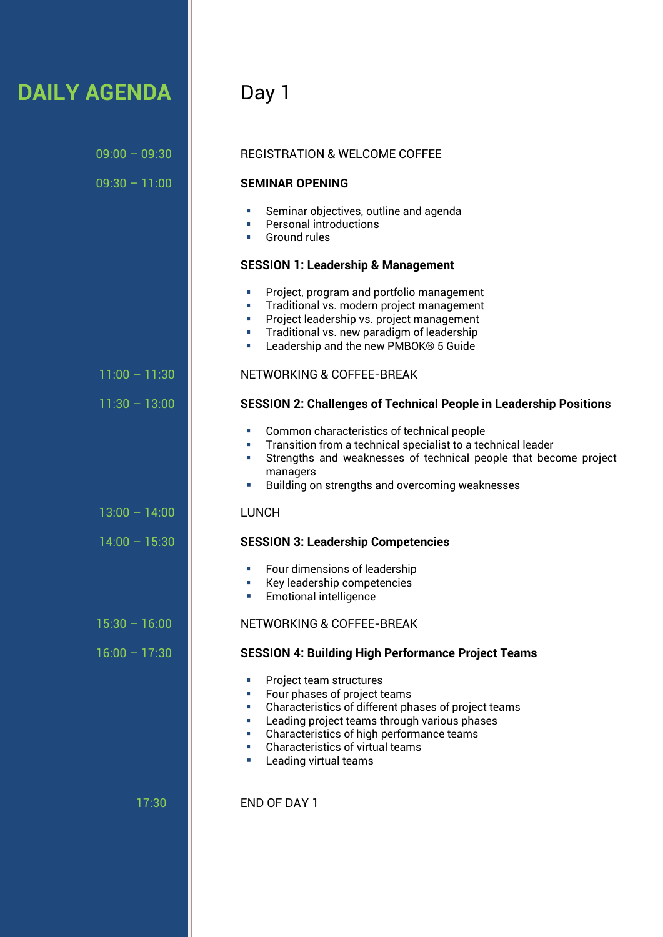## DAILY AGENDA | Day 1

| $09:00 - 09:30$ | <b>REGISTRATION &amp; WELCOME COFFEE</b>                                                                                                                                                                                                                                                                                                                                                                                           |
|-----------------|------------------------------------------------------------------------------------------------------------------------------------------------------------------------------------------------------------------------------------------------------------------------------------------------------------------------------------------------------------------------------------------------------------------------------------|
| $09:30 - 11:00$ | <b>SEMINAR OPENING</b>                                                                                                                                                                                                                                                                                                                                                                                                             |
|                 | Seminar objectives, outline and agenda<br>×.<br><b>Personal introductions</b><br>Ground rules<br>a.                                                                                                                                                                                                                                                                                                                                |
|                 | <b>SESSION 1: Leadership &amp; Management</b>                                                                                                                                                                                                                                                                                                                                                                                      |
|                 | Project, program and portfolio management<br>a.<br>Traditional vs. modern project management<br>$\mathcal{L}_{\mathcal{A}}$<br>Project leadership vs. project management<br>$\blacksquare$<br>Traditional vs. new paradigm of leadership<br>$\mathcal{L}_{\mathcal{A}}$<br>Leadership and the new PMBOK® 5 Guide<br>$\blacksquare$                                                                                                 |
| $11:00 - 11:30$ | <b>NETWORKING &amp; COFFEE-BREAK</b>                                                                                                                                                                                                                                                                                                                                                                                               |
| $11:30 - 13:00$ | <b>SESSION 2: Challenges of Technical People in Leadership Positions</b>                                                                                                                                                                                                                                                                                                                                                           |
|                 | Common characteristics of technical people<br>×<br>Transition from a technical specialist to a technical leader<br>$\mathcal{L}_{\mathcal{A}}$<br>Strengths and weaknesses of technical people that become project<br>×<br>managers<br>Building on strengths and overcoming weaknesses<br>×                                                                                                                                        |
| $13:00 - 14:00$ | <b>LUNCH</b>                                                                                                                                                                                                                                                                                                                                                                                                                       |
| $14:00 - 15:30$ | <b>SESSION 3: Leadership Competencies</b>                                                                                                                                                                                                                                                                                                                                                                                          |
|                 | Four dimensions of leadership<br>Key leadership competencies<br><b>Emotional intelligence</b><br>o.                                                                                                                                                                                                                                                                                                                                |
| $15:30 - 16:00$ | <b>NETWORKING &amp; COFFEE-BREAK</b>                                                                                                                                                                                                                                                                                                                                                                                               |
| $16:00 - 17:30$ | <b>SESSION 4: Building High Performance Project Teams</b>                                                                                                                                                                                                                                                                                                                                                                          |
|                 | Project team structures<br>$\mathcal{L}_{\mathcal{A}}$<br>Four phases of project teams<br>$\mathcal{L}_{\mathcal{A}}$<br>Characteristics of different phases of project teams<br>$\blacksquare$<br>Leading project teams through various phases<br>$\mathcal{L}_{\mathcal{A}}$<br>Characteristics of high performance teams<br>$\blacksquare$<br>Characteristics of virtual teams<br>$\blacksquare$<br>Leading virtual teams<br>×. |
| 17:30           | <b>END OF DAY 1</b>                                                                                                                                                                                                                                                                                                                                                                                                                |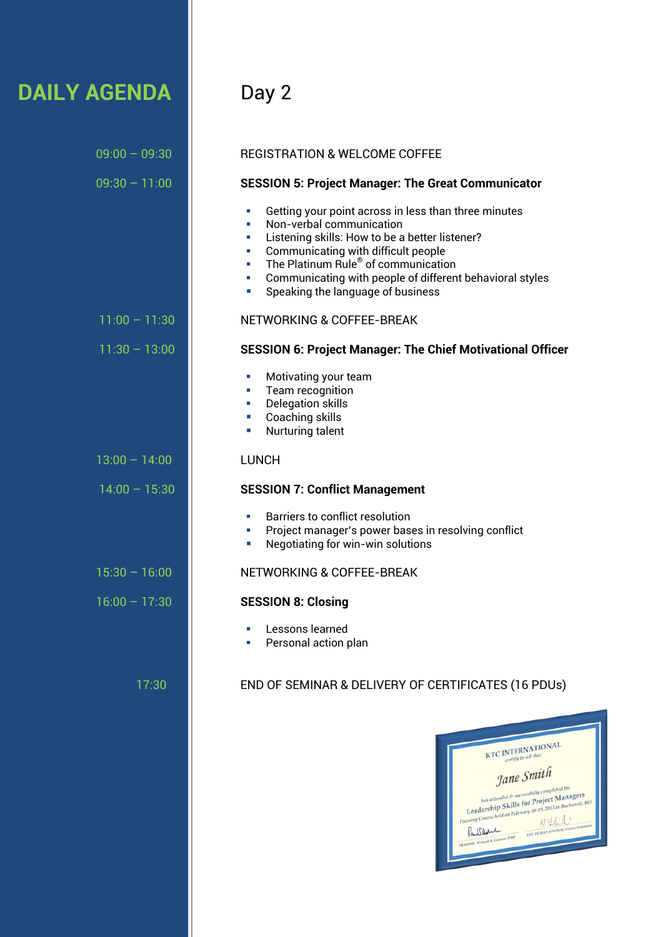### **DAILY AGENDA** Day 2

#### 09:00 – 09:30 REGISTRATION & WELCOME COFFEE

#### 09:30 – 11:00 **SESSION 5: Project Manager: The Great Communicator**

- Getting your point across in less than three minutes
- **Non-verbal communication**
- **EXECUTE:** Listening skills: How to be a better listener?
- **•** Communicating with difficult people
- $\blacksquare$  The Platinum Rule<sup>®</sup> of communication
- Communicating with people of different behavioral styles
- **Speaking the language of business**

#### 11:00 – 11:30 NETWORKING & COFFEE-BREAK

#### 11:30 – 13:00 **SESSION 6: Project Manager: The Chief Motivational Officer**

- **Motivating your team**
- **Team recognition**
- **Delegation skills**
- Coaching skills
- **Nurturing talent**

#### 13:00 – 14:00 **LUNCH**

#### 14:00 – 15:30 **SESSION 7: Conflict Management**

- **Barriers to conflict resolution**
- **Project manager's power bases in resolving conflict**
- **Negotiating for win-win solutions**

#### 15:30 – 16:00 NETWORKING & COFFEE-BREAK

#### 16:00 – 17:30 **SESSION 8: Closing**

- Lessons learned
- **Personal action plan**

#### 17:30 END OF SEMINAR & DELIVERY OF CERTIFICATES (16 PDUs)

|                                 | <b>KTC INTERNATIONAL</b>                                                            |
|---------------------------------|-------------------------------------------------------------------------------------|
|                                 | certify to all that                                                                 |
|                                 | Jane Smith                                                                          |
|                                 | has attended & successfully completed the<br>Leadership Skills for Project Managers |
|                                 | Training Course held on February 18-19, 2013 in Bucharest, RO                       |
| Prenticela                      | N411<br>KTC INTERNATIONAL: Garan Kestudayic                                         |
| TRAINER: Richard A. Graham, PMP |                                                                                     |